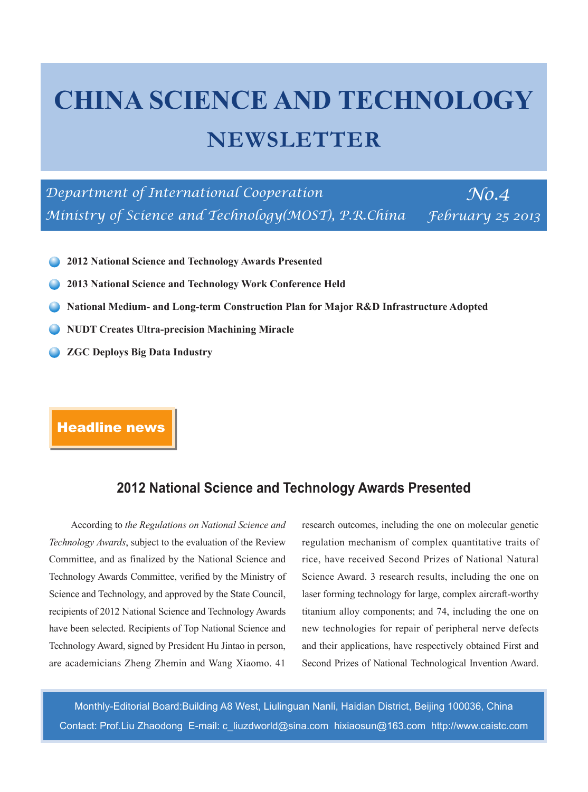# **CHINA SCIENCE AND TECHNOLOGY NEWSLETTER**

*Department of International Cooperation* No.4 *Ministry of Science and Technology(MOST), P.R.China February 25 2013*

- **2012 National Science and Technology Awards Presented**
- **2013 National Science and Technology Work Conference Held**
- **National Medium- and Long-term Construction Plan for Major R&D Infrastructure Adopted**
- **NUDT Creates Ultra-precision Machining Miracle**
- **ZGC Deploys Big Data Industry**

# Headline news

## **2012 National Science and Technology Awards Presented**

According to *the Regulations on National Science and Technology Awards*, subject to the evaluation of the Review Committee, and as finalized by the National Science and Technology Awards Committee, verified by the Ministry of Science and Technology, and approved by the State Council, recipients of 2012 National Science and Technology Awards have been selected. Recipients of Top National Science and Technology Award, signed by President Hu Jintao in person, are academicians Zheng Zhemin and Wang Xiaomo. 41

research outcomes, including the one on molecular genetic regulation mechanism of complex quantitative traits of rice, have received Second Prizes of National Natural Science Award. 3 research results, including the one on laser forming technology for large, complex aircraft-worthy titanium alloy components; and 74, including the one on new technologies for repair of peripheral nerve defects and their applications, have respectively obtained First and Second Prizes of National Technological Invention Award.

Monthly-Editorial Board:Building A8 West, Liulinguan Nanli, Haidian District, Beijing 100036, China Contact: Prof.Liu Zhaodong E-mail: c\_liuzdworld@sina.com hixiaosun@163.com http://www.caistc.com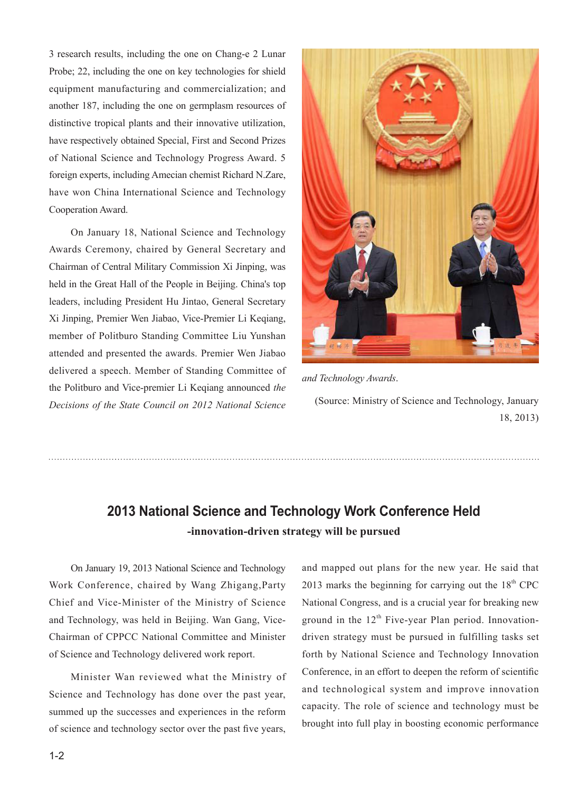3 research results, including the one on Chang-e 2 Lunar Probe; 22, including the one on key technologies for shield equipment manufacturing and commercialization; and another 187, including the one on germplasm resources of distinctive tropical plants and their innovative utilization, have respectively obtained Special, First and Second Prizes of National Science and Technology Progress Award. 5 foreign experts, including Amecian chemist Richard N.Zare, have won China International Science and Technology Cooperation Award.

On January 18, National Science and Technology Awards Ceremony, chaired by General Secretary and Chairman of Central Military Commission Xi Jinping, was held in the Great Hall of the People in Beijing. China's top leaders, including President Hu Jintao, General Secretary Xi Jinping, Premier Wen Jiabao, Vice-Premier Li Keqiang, member of Politburo Standing Committee Liu Yunshan attended and presented the awards. Premier Wen Jiabao delivered a speech. Member of Standing Committee of the Politburo and Vice-premier Li Keqiang announced *the Decisions of the State Council on 2012 National Science* 



*and Technology Awards*.

(Source: Ministry of Science and Technology, January 18, 2013)

# **2013 National Science and Technology Work Conference Held -innovation-driven strategy will be pursued**

On January 19, 2013 National Science and Technology Work Conference, chaired by Wang Zhigang,Party Chief and Vice-Minister of the Ministry of Science and Technology, was held in Beijing. Wan Gang, Vice-Chairman of CPPCC National Committee and Minister of Science and Technology delivered work report.

Minister Wan reviewed what the Ministry of Science and Technology has done over the past year, summed up the successes and experiences in the reform of science and technology sector over the past five years,

and mapped out plans for the new year. He said that 2013 marks the beginning for carrying out the  $18<sup>th</sup>$  CPC National Congress, and is a crucial year for breaking new ground in the  $12<sup>th</sup>$  Five-year Plan period. Innovationdriven strategy must be pursued in fulfilling tasks set forth by National Science and Technology Innovation Conference, in an effort to deepen the reform of scientific and technological system and improve innovation capacity. The role of science and technology must be brought into full play in boosting economic performance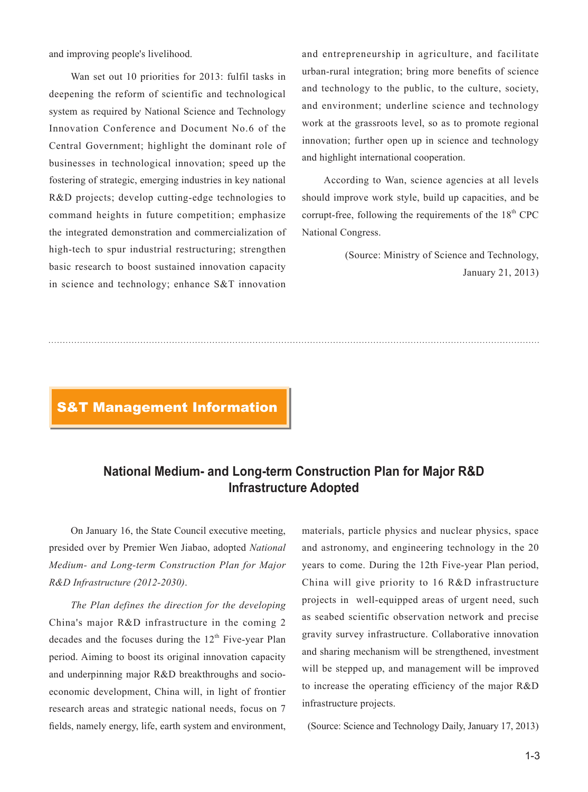and improving people's livelihood.

Wan set out 10 priorities for 2013: fulfil tasks in deepening the reform of scientific and technological system as required by National Science and Technology Innovation Conference and Document No.6 of the Central Government; highlight the dominant role of businesses in technological innovation; speed up the fostering of strategic, emerging industries in key national R&D projects; develop cutting-edge technologies to command heights in future competition; emphasize the integrated demonstration and commercialization of high-tech to spur industrial restructuring; strengthen basic research to boost sustained innovation capacity in science and technology; enhance S&T innovation

and entrepreneurship in agriculture, and facilitate urban-rural integration; bring more benefits of science and technology to the public, to the culture, society, and environment; underline science and technology work at the grassroots level, so as to promote regional innovation; further open up in science and technology and highlight international cooperation.

According to Wan, science agencies at all levels should improve work style, build up capacities, and be corrupt-free, following the requirements of the  $18<sup>th</sup>$  CPC National Congress.

> (Source: Ministry of Science and Technology, January 21, 2013)

#### S&T Management Information

# **National Medium- and Long-term Construction Plan for Major R&D Infrastructure Adopted**

On January 16, the State Council executive meeting, presided over by Premier Wen Jiabao, adopted *National Medium- and Long-term Construction Plan for Major R&D Infrastructure (2012-2030)*.

*The Plan defines the direction for the developing* China's major R&D infrastructure in the coming 2 decades and the focuses during the  $12<sup>th</sup>$  Five-year Plan period. Aiming to boost its original innovation capacity and underpinning major R&D breakthroughs and socioeconomic development, China will, in light of frontier research areas and strategic national needs, focus on 7 fields, namely energy, life, earth system and environment,

materials, particle physics and nuclear physics, space and astronomy, and engineering technology in the 20 years to come. During the 12th Five-year Plan period, China will give priority to 16 R&D infrastructure projects in well-equipped areas of urgent need, such as seabed scientific observation network and precise gravity survey infrastructure. Collaborative innovation and sharing mechanism will be strengthened, investment will be stepped up, and management will be improved to increase the operating efficiency of the major R&D infrastructure projects.

(Source: Science and Technology Daily, January 17, 2013)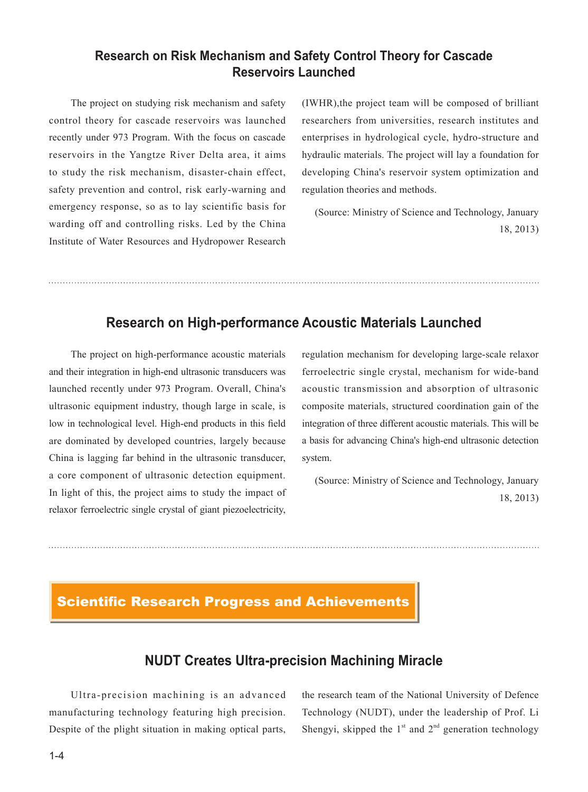## **Research on Risk Mechanism and Safety Control Theory for Cascade Reservoirs Launched**

The project on studying risk mechanism and safety control theory for cascade reservoirs was launched recently under 973 Program. With the focus on cascade reservoirs in the Yangtze River Delta area, it aims to study the risk mechanism, disaster-chain effect, safety prevention and control, risk early-warning and emergency response, so as to lay scientific basis for warding off and controlling risks. Led by the China Institute of Water Resources and Hydropower Research

(IWHR),the project team will be composed of brilliant researchers from universities, research institutes and enterprises in hydrological cycle, hydro-structure and hydraulic materials. The project will lay a foundation for developing China's reservoir system optimization and regulation theories and methods.

 (Source: Ministry of Science and Technology, January 18, 2013)

## **Research on High-performance Acoustic Materials Launched**

The project on high-performance acoustic materials and their integration in high-end ultrasonic transducers was launched recently under 973 Program. Overall, China's ultrasonic equipment industry, though large in scale, is low in technological level. High-end products in this field are dominated by developed countries, largely because China is lagging far behind in the ultrasonic transducer, a core component of ultrasonic detection equipment. In light of this, the project aims to study the impact of relaxor ferroelectric single crystal of giant piezoelectricity,

regulation mechanism for developing large-scale relaxor ferroelectric single crystal, mechanism for wide-band acoustic transmission and absorption of ultrasonic composite materials, structured coordination gain of the integration of three different acoustic materials. This will be a basis for advancing China's high-end ultrasonic detection system.

(Source: Ministry of Science and Technology, January 18, 2013)

# Scientific Research Progress and Achievements

# **NUDT Creates Ultra-precision Machining Miracle**

Ultra-precision machining is an advanced manufacturing technology featuring high precision. Despite of the plight situation in making optical parts,

the research team of the National University of Defence Technology (NUDT), under the leadership of Prof. Li Shengyi, skipped the  $1<sup>st</sup>$  and  $2<sup>nd</sup>$  generation technology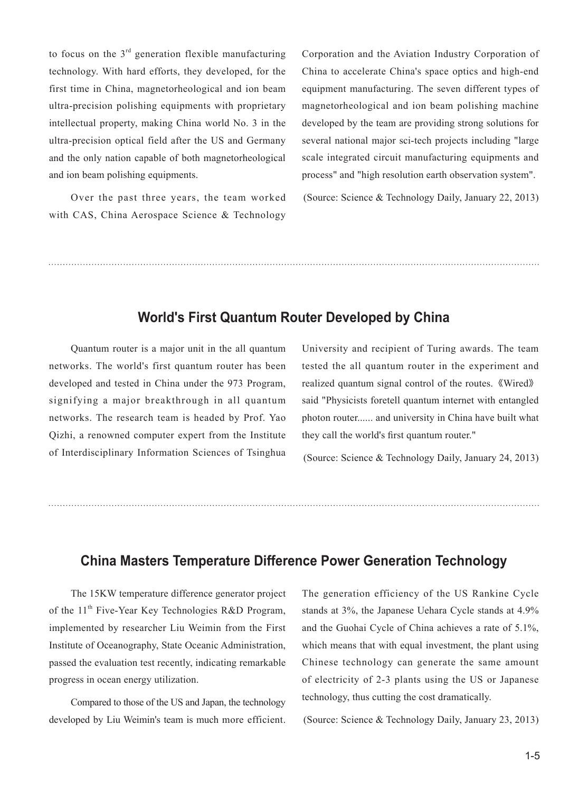to focus on the  $3<sup>rd</sup>$  generation flexible manufacturing technology. With hard efforts, they developed, for the first time in China, magnetorheological and ion beam ultra-precision polishing equipments with proprietary intellectual property, making China world No. 3 in the ultra-precision optical field after the US and Germany and the only nation capable of both magnetorheological and ion beam polishing equipments.

Over the past three years, the team worked with CAS, China Aerospace Science & Technology

Corporation and the Aviation Industry Corporation of China to accelerate China's space optics and high-end equipment manufacturing. The seven different types of magnetorheological and ion beam polishing machine developed by the team are providing strong solutions for several national major sci-tech projects including "large scale integrated circuit manufacturing equipments and process" and "high resolution earth observation system".

(Source: Science & Technology Daily, January 22, 2013)

## **World's First Quantum Router Developed by China**

Quantum router is a major unit in the all quantum networks. The world's first quantum router has been developed and tested in China under the 973 Program, signifying a major breakthrough in all quantum networks. The research team is headed by Prof. Yao Qizhi, a renowned computer expert from the Institute of Interdisciplinary Information Sciences of Tsinghua

University and recipient of Turing awards. The team tested the all quantum router in the experiment and realized quantum signal control of the routes.《Wired》 said "Physicists foretell quantum internet with entangled photon router...... and university in China have built what they call the world's first quantum router."

(Source: Science & Technology Daily, January 24, 2013)

## **China Masters Temperature Difference Power Generation Technology**

The 15KW temperature difference generator project of the  $11<sup>th</sup>$  Five-Year Key Technologies R&D Program, implemented by researcher Liu Weimin from the First Institute of Oceanography, State Oceanic Administration, passed the evaluation test recently, indicating remarkable progress in ocean energy utilization.

Compared to those of the US and Japan, the technology developed by Liu Weimin's team is much more efficient. The generation efficiency of the US Rankine Cycle stands at 3%, the Japanese Uehara Cycle stands at 4.9% and the Guohai Cycle of China achieves a rate of 5.1%, which means that with equal investment, the plant using Chinese technology can generate the same amount of electricity of 2-3 plants using the US or Japanese technology, thus cutting the cost dramatically.

(Source: Science & Technology Daily, January 23, 2013)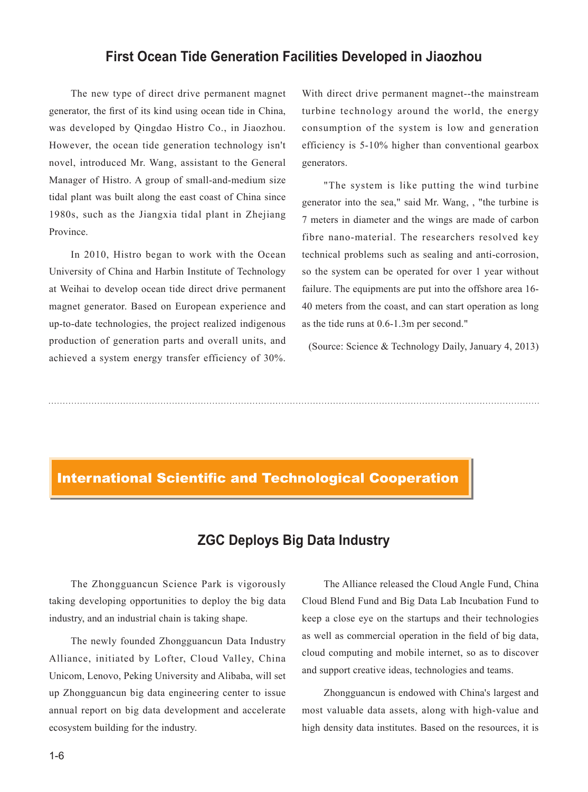## **First Ocean Tide Generation Facilities Developed in Jiaozhou**

The new type of direct drive permanent magnet generator, the first of its kind using ocean tide in China, was developed by Qingdao Histro Co., in Jiaozhou. However, the ocean tide generation technology isn't novel, introduced Mr. Wang, assistant to the General Manager of Histro. A group of small-and-medium size tidal plant was built along the east coast of China since 1980s, such as the Jiangxia tidal plant in Zhejiang Province.

In 2010, Histro began to work with the Ocean University of China and Harbin Institute of Technology at Weihai to develop ocean tide direct drive permanent magnet generator. Based on European experience and up-to-date technologies, the project realized indigenous production of generation parts and overall units, and achieved a system energy transfer efficiency of 30%.

With direct drive permanent magnet--the mainstream turbine technology around the world, the energy consumption of the system is low and generation efficiency is 5-10% higher than conventional gearbox generators.

"The system is like putting the wind turbine generator into the sea," said Mr. Wang, , "the turbine is 7 meters in diameter and the wings are made of carbon fibre nano-material. The researchers resolved key technical problems such as sealing and anti-corrosion, so the system can be operated for over 1 year without failure. The equipments are put into the offshore area 16- 40 meters from the coast, and can start operation as long as the tide runs at 0.6-1.3m per second."

(Source: Science & Technology Daily, January 4, 2013)

#### International Scientific and Technological Cooperation

# **ZGC Deploys Big Data Industry**

The Zhongguancun Science Park is vigorously taking developing opportunities to deploy the big data industry, and an industrial chain is taking shape.

The newly founded Zhongguancun Data Industry Alliance, initiated by Lofter, Cloud Valley, China Unicom, Lenovo, Peking University and Alibaba, will set up Zhongguancun big data engineering center to issue annual report on big data development and accelerate ecosystem building for the industry.

The Alliance released the Cloud Angle Fund, China Cloud Blend Fund and Big Data Lab Incubation Fund to keep a close eye on the startups and their technologies as well as commercial operation in the field of big data, cloud computing and mobile internet, so as to discover and support creative ideas, technologies and teams.

Zhongguancun is endowed with China's largest and most valuable data assets, along with high-value and high density data institutes. Based on the resources, it is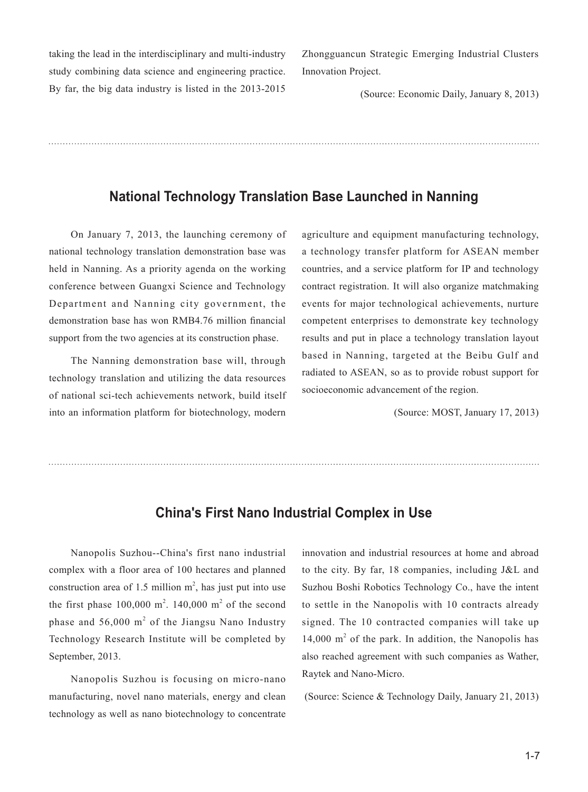taking the lead in the interdisciplinary and multi-industry study combining data science and engineering practice. By far, the big data industry is listed in the 2013-2015 Zhongguancun Strategic Emerging Industrial Clusters Innovation Project.

(Source: Economic Daily, January 8, 2013)

## **National Technology Translation Base Launched in Nanning**

On January 7, 2013, the launching ceremony of national technology translation demonstration base was held in Nanning. As a priority agenda on the working conference between Guangxi Science and Technology Department and Nanning city government, the demonstration base has won RMB4.76 million financial support from the two agencies at its construction phase.

The Nanning demonstration base will, through technology translation and utilizing the data resources of national sci-tech achievements network, build itself into an information platform for biotechnology, modern

agriculture and equipment manufacturing technology, a technology transfer platform for ASEAN member countries, and a service platform for IP and technology contract registration. It will also organize matchmaking events for major technological achievements, nurture competent enterprises to demonstrate key technology results and put in place a technology translation layout based in Nanning, targeted at the Beibu Gulf and radiated to ASEAN, so as to provide robust support for socioeconomic advancement of the region.

(Source: MOST, January 17, 2013)

## **China's First Nano Industrial Complex in Use**

Nanopolis Suzhou--China's first nano industrial complex with a floor area of 100 hectares and planned construction area of 1.5 million  $m^2$ , has just put into use the first phase  $100,000 \text{ m}^2$ .  $140,000 \text{ m}^2$  of the second phase and  $56,000 \text{ m}^2$  of the Jiangsu Nano Industry Technology Research Institute will be completed by September, 2013.

Nanopolis Suzhou is focusing on micro-nano manufacturing, novel nano materials, energy and clean technology as well as nano biotechnology to concentrate innovation and industrial resources at home and abroad to the city. By far, 18 companies, including J&L and Suzhou Boshi Robotics Technology Co., have the intent to settle in the Nanopolis with 10 contracts already signed. The 10 contracted companies will take up  $14,000 \text{ m}^2$  of the park. In addition, the Nanopolis has also reached agreement with such companies as Wather, Raytek and Nano-Micro.

(Source: Science & Technology Daily, January 21, 2013)